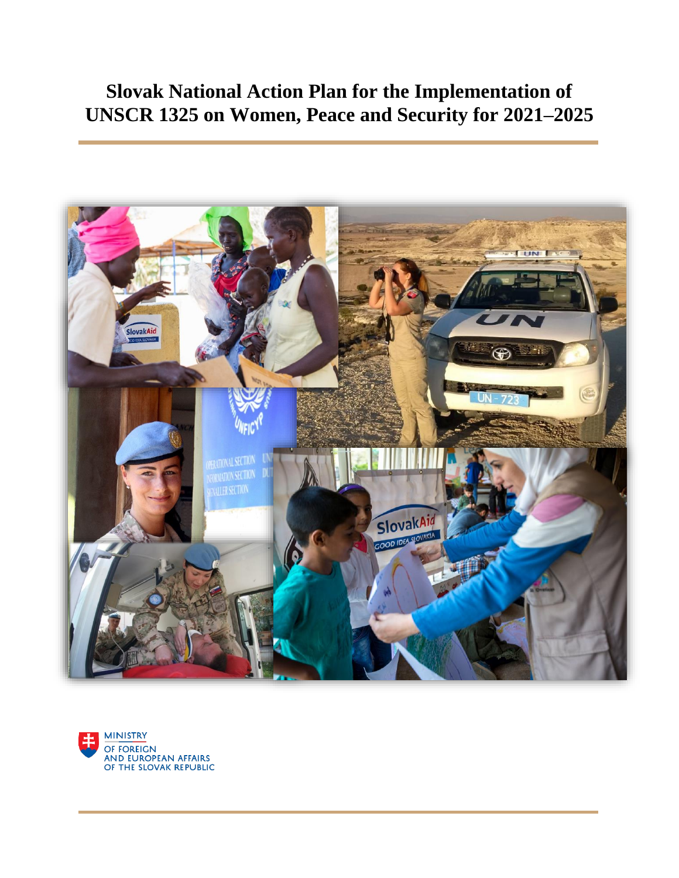# **Slovak National Action Plan for the Implementation of UNSCR 1325 on Women, Peace and Security for 2021–2025**



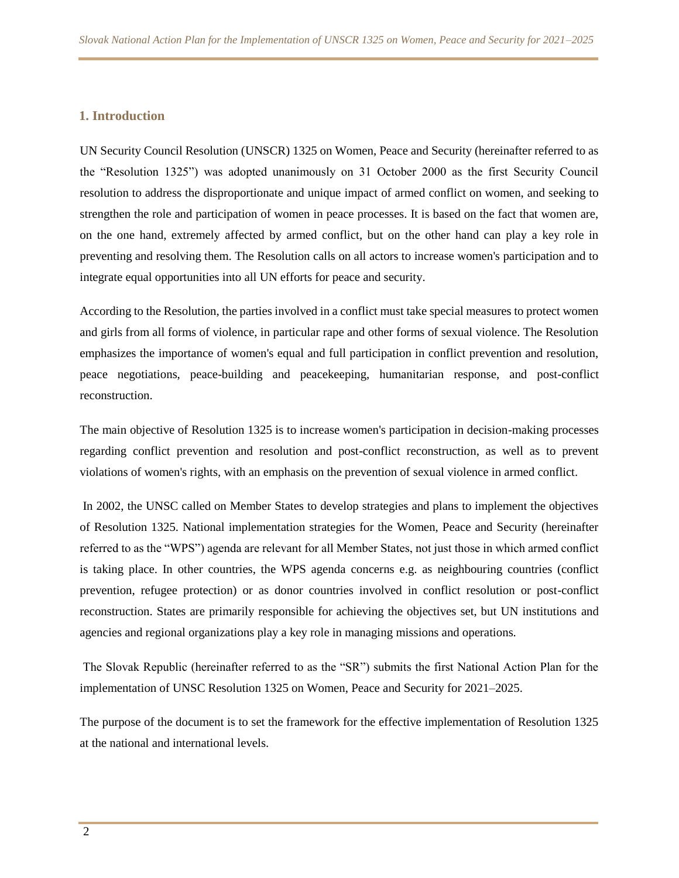#### **1. Introduction**

UN Security Council Resolution (UNSCR) 1325 on Women, Peace and Security (hereinafter referred to as the "Resolution 1325") was adopted unanimously on 31 October 2000 as the first Security Council resolution to address the disproportionate and unique impact of armed conflict on women, and seeking to strengthen the role and participation of women in peace processes. It is based on the fact that women are, on the one hand, extremely affected by armed conflict, but on the other hand can play a key role in preventing and resolving them. The Resolution calls on all actors to increase women's participation and to integrate equal opportunities into all UN efforts for peace and security.

According to the Resolution, the parties involved in a conflict must take special measures to protect women and girls from all forms of violence, in particular rape and other forms of sexual violence. The Resolution emphasizes the importance of women's equal and full participation in conflict prevention and resolution, peace negotiations, peace-building and peacekeeping, humanitarian response, and post-conflict reconstruction.

The main objective of Resolution 1325 is to increase women's participation in decision-making processes regarding conflict prevention and resolution and post-conflict reconstruction, as well as to prevent violations of women's rights, with an emphasis on the prevention of sexual violence in armed conflict.

In 2002, the UNSC called on Member States to develop strategies and plans to implement the objectives of Resolution 1325. National implementation strategies for the Women, Peace and Security (hereinafter referred to as the "WPS") agenda are relevant for all Member States, not just those in which armed conflict is taking place. In other countries, the WPS agenda concerns e.g. as neighbouring countries (conflict prevention, refugee protection) or as donor countries involved in conflict resolution or post-conflict reconstruction. States are primarily responsible for achieving the objectives set, but UN institutions and agencies and regional organizations play a key role in managing missions and operations.

The Slovak Republic (hereinafter referred to as the "SR") submits the first National Action Plan for the implementation of UNSC Resolution 1325 on Women, Peace and Security for 2021–2025.

The purpose of the document is to set the framework for the effective implementation of Resolution 1325 at the national and international levels.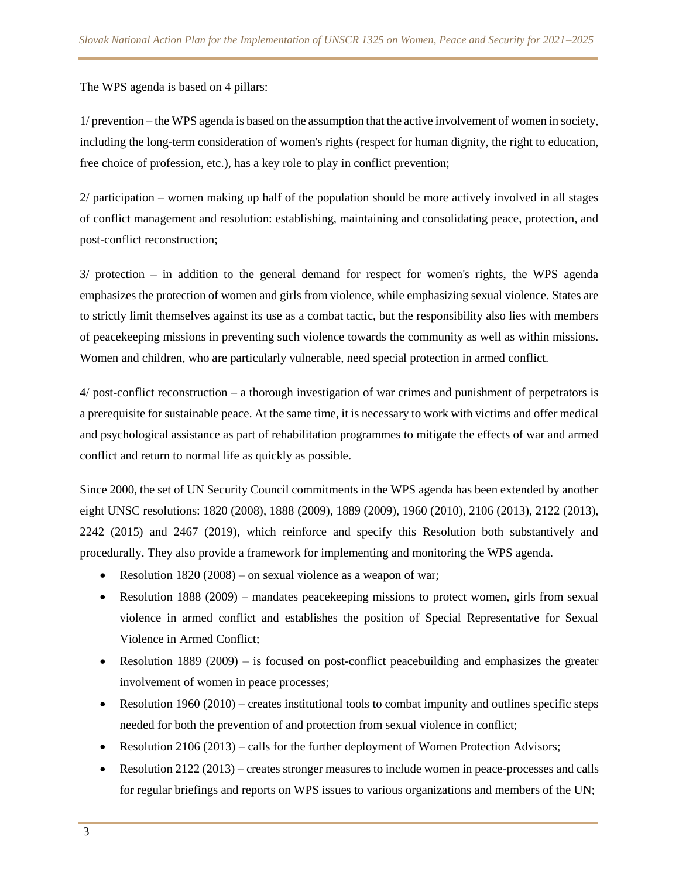The WPS agenda is based on 4 pillars:

1/ prevention – the WPS agenda is based on the assumption that the active involvement of women in society, including the long-term consideration of women's rights (respect for human dignity, the right to education, free choice of profession, etc.), has a key role to play in conflict prevention;

2/ participation – women making up half of the population should be more actively involved in all stages of conflict management and resolution: establishing, maintaining and consolidating peace, protection, and post-conflict reconstruction;

3/ protection – in addition to the general demand for respect for women's rights, the WPS agenda emphasizes the protection of women and girls from violence, while emphasizing sexual violence. States are to strictly limit themselves against its use as a combat tactic, but the responsibility also lies with members of peacekeeping missions in preventing such violence towards the community as well as within missions. Women and children, who are particularly vulnerable, need special protection in armed conflict.

4/ post-conflict reconstruction – a thorough investigation of war crimes and punishment of perpetrators is a prerequisite for sustainable peace. At the same time, it is necessary to work with victims and offer medical and psychological assistance as part of rehabilitation programmes to mitigate the effects of war and armed conflict and return to normal life as quickly as possible.

Since 2000, the set of UN Security Council commitments in the WPS agenda has been extended by another eight UNSC resolutions: 1820 (2008), 1888 (2009), 1889 (2009), 1960 (2010), 2106 (2013), 2122 (2013), 2242 (2015) and 2467 (2019), which reinforce and specify this Resolution both substantively and procedurally. They also provide a framework for implementing and monitoring the WPS agenda.

- Resolution 1820 (2008) on sexual violence as a weapon of war;
- Resolution 1888 (2009) mandates peacekeeping missions to protect women, girls from sexual violence in armed conflict and establishes the position of Special Representative for Sexual Violence in Armed Conflict;
- Resolution 1889 (2009) is focused on post-conflict peacebuilding and emphasizes the greater involvement of women in peace processes;
- Resolution  $1960 (2010)$  creates institutional tools to combat impunity and outlines specific steps needed for both the prevention of and protection from sexual violence in conflict;
- Resolution  $2106 (2013)$  calls for the further deployment of Women Protection Advisors;
- Resolution 2122 (2013) creates stronger measures to include women in peace-processes and calls for regular briefings and reports on WPS issues to various organizations and members of the UN;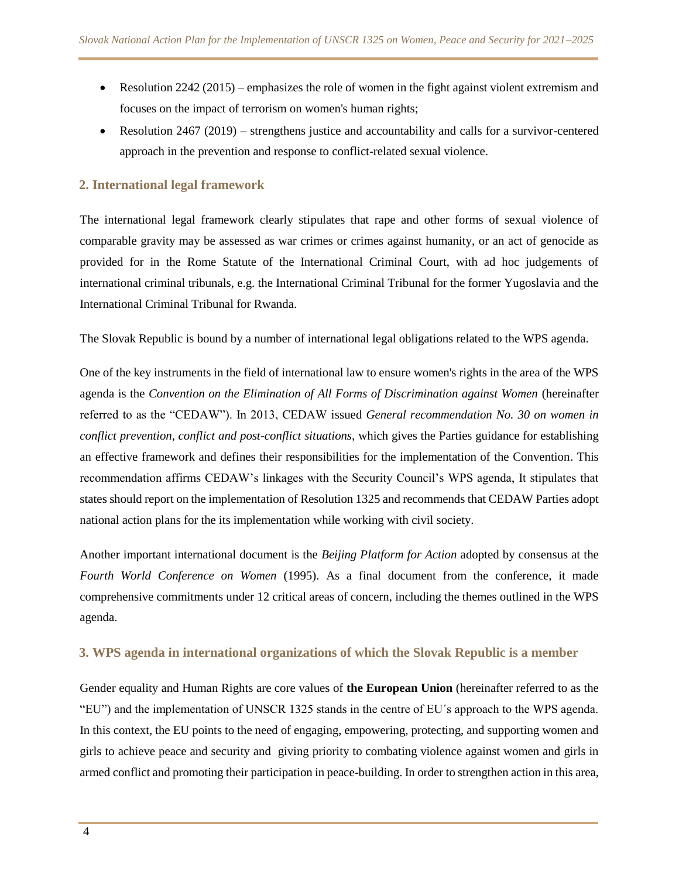- Example 10  $242(2015)$  emphasizes the role of women in the fight against violent extremism and focuses on the impact of terrorism on women's human rights;
- Resolution 2467 (2019) strengthens justice and accountability and calls for a survivor-centered approach in the prevention and response to conflict-related sexual violence.

# **2. International legal framework**

The international legal framework clearly stipulates that rape and other forms of sexual violence of comparable gravity may be assessed as war crimes or crimes against humanity, or an act of genocide as provided for in the Rome Statute of the International Criminal Court, with ad hoc judgements of international criminal tribunals, e.g. the International Criminal Tribunal for the former Yugoslavia and the International Criminal Tribunal for Rwanda.

The Slovak Republic is bound by a number of international legal obligations related to the WPS agenda.

One of the key instruments in the field of international law to ensure women's rights in the area of the WPS agenda is the *Convention on the Elimination of All Forms of Discrimination against Women* (hereinafter referred to as the "CEDAW"). In 2013, CEDAW issued *General recommendation No. 30 on women in conflict prevention, conflict and post-conflict situations,* which gives the Parties guidance for establishing an effective framework and defines their responsibilities for the implementation of the Convention. This recommendation affirms CEDAW's linkages with the Security Council's WPS agenda, It stipulates that states should report on the implementation of Resolution 1325 and recommends that CEDAW Parties adopt national action plans for the its implementation while working with civil society.

Another important international document is the *Beijing Platform for Action* adopted by consensus at the *Fourth World Conference on Women* (1995). As a final document from the conference, it made comprehensive commitments under 12 critical areas of concern, including the themes outlined in the WPS agenda.

# **3. WPS agenda in international organizations of which the Slovak Republic is a member**

Gender equality and Human Rights are core values of **the European Union** (hereinafter referred to as the "EU") and the implementation of UNSCR 1325 stands in the centre of EU´s approach to the WPS agenda. In this context, the EU points to the need of engaging, empowering, protecting, and supporting women and girls to achieve peace and security and giving priority to combating violence against women and girls in armed conflict and promoting their participation in peace-building. In order to strengthen action in this area,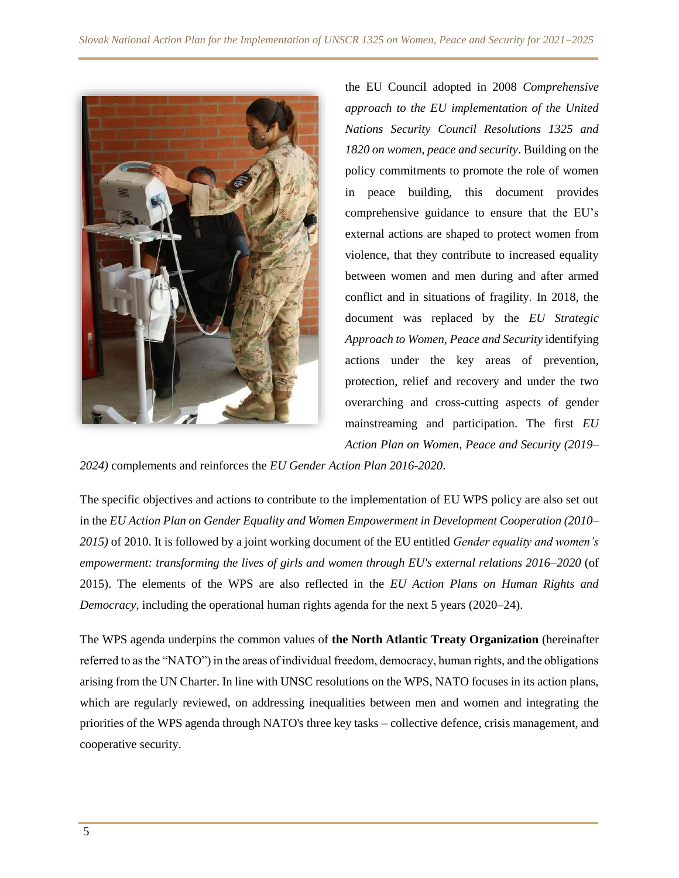

the EU Council adopted in 2008 *Comprehensive approach to the EU implementation of the United Nations Security Council Resolutions 1325 and 1820 on women, peace and security*. Building on the policy commitments to promote the role of women in peace building, this document provides comprehensive guidance to ensure that the EU's external actions are shaped to protect women from violence, that they contribute to increased equality between women and men during and after armed conflict and in situations of fragility. In 2018, the document was replaced by the *EU Strategic Approach to Women, Peace and Security* identifying actions under the key areas of prevention, protection, relief and recovery and under the two overarching and cross-cutting aspects of gender mainstreaming and participation. The first *EU Action Plan on Women, Peace and Security (2019–*

*2024)* complements and reinforces the *EU Gender Action Plan 2016-2020*.

The specific objectives and actions to contribute to the implementation of EU WPS policy are also set out in the *EU Action Plan on Gender Equality and Women Empowerment in Development Cooperation (2010– 2015)* of 2010. It is followed by a joint working document of the EU entitled *Gender equality and women's empowerment: transforming the lives of girls and women through EU's external relations 2016–2020* (of 2015). The elements of the WPS are also reflected in the *EU Action Plans on Human Rights and Democracy*, including the operational human rights agenda for the next 5 years (2020–24).

The WPS agenda underpins the common values of **the North Atlantic Treaty Organization** (hereinafter referred to as the "NATO") in the areas of individual freedom, democracy, human rights, and the obligations arising from the UN Charter. In line with UNSC resolutions on the WPS, NATO focuses in its action plans, which are regularly reviewed, on addressing inequalities between men and women and integrating the priorities of the WPS agenda through NATO's three key tasks – collective defence, crisis management, and cooperative security.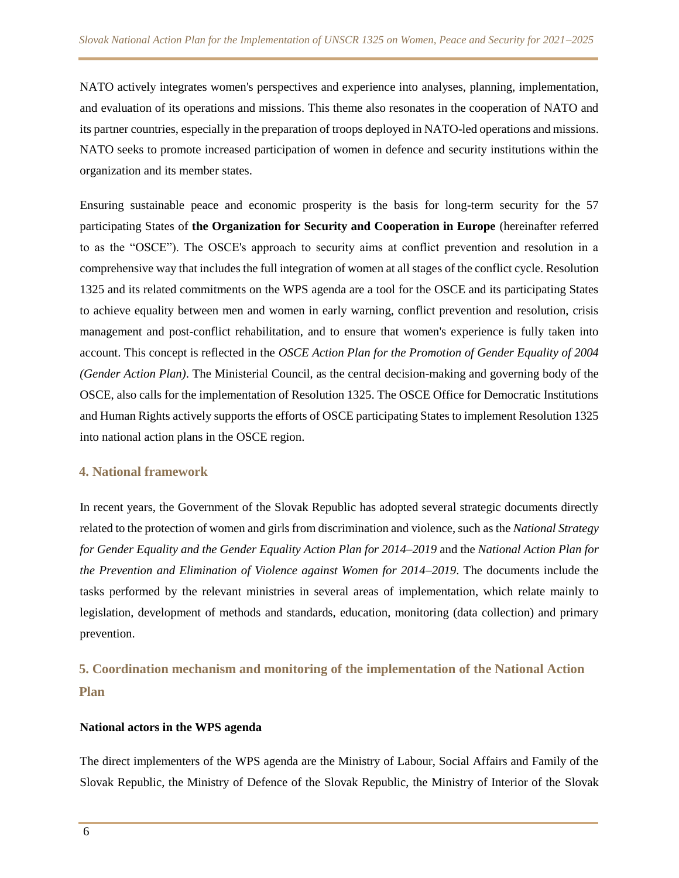NATO actively integrates women's perspectives and experience into analyses, planning, implementation, and evaluation of its operations and missions. This theme also resonates in the cooperation of NATO and its partner countries, especially in the preparation of troops deployed in NATO-led operations and missions. NATO seeks to promote increased participation of women in defence and security institutions within the organization and its member states.

Ensuring sustainable peace and economic prosperity is the basis for long-term security for the 57 participating States of **the Organization for Security and Cooperation in Europe** (hereinafter referred to as the "OSCE"). The OSCE's approach to security aims at conflict prevention and resolution in a comprehensive way that includes the full integration of women at all stages of the conflict cycle. Resolution 1325 and its related commitments on the WPS agenda are a tool for the OSCE and its participating States to achieve equality between men and women in early warning, conflict prevention and resolution, crisis management and post-conflict rehabilitation, and to ensure that women's experience is fully taken into account. This concept is reflected in the *OSCE Action Plan for the Promotion of Gender Equality of 2004 (Gender Action Plan)*. The Ministerial Council, as the central decision-making and governing body of the OSCE, also calls for the implementation of Resolution 1325. The OSCE Office for Democratic Institutions and Human Rights actively supports the efforts of OSCE participating States to implement Resolution 1325 into national action plans in the OSCE region.

#### **4. National framework**

In recent years, the Government of the Slovak Republic has adopted several strategic documents directly related to the protection of women and girls from discrimination and violence, such as the *National Strategy for Gender Equality and the Gender Equality Action Plan for 2014–2019* and the *National Action Plan for the Prevention and Elimination of Violence against Women for 2014–2019*. The documents include the tasks performed by the relevant ministries in several areas of implementation, which relate mainly to legislation, development of methods and standards, education, monitoring (data collection) and primary prevention.

# **5. Coordination mechanism and monitoring of the implementation of the National Action Plan**

#### **National actors in the WPS agenda**

The direct implementers of the WPS agenda are the Ministry of Labour, Social Affairs and Family of the Slovak Republic, the Ministry of Defence of the Slovak Republic, the Ministry of Interior of the Slovak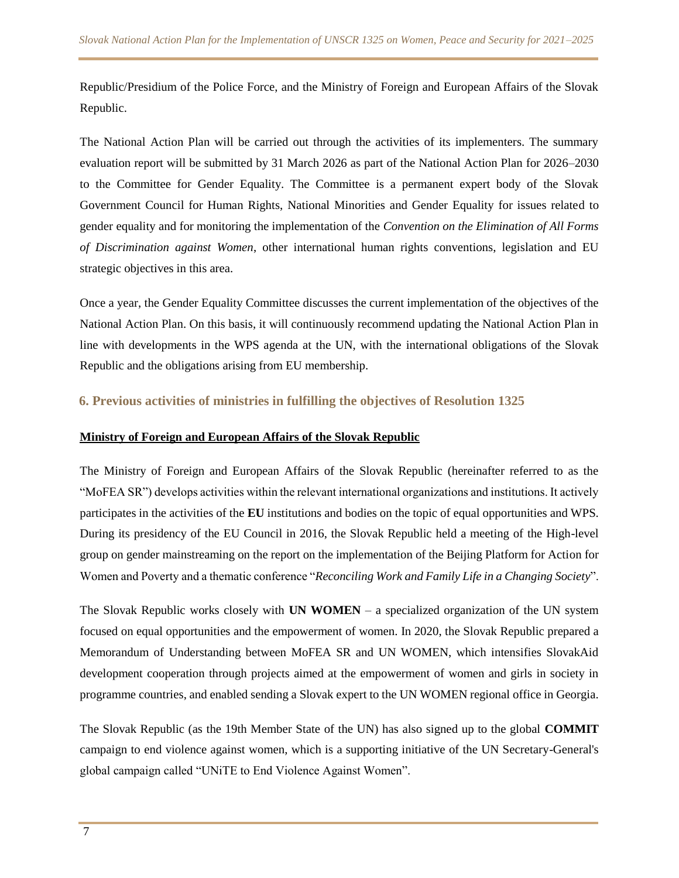Republic/Presidium of the Police Force, and the Ministry of Foreign and European Affairs of the Slovak Republic.

The National Action Plan will be carried out through the activities of its implementers. The summary evaluation report will be submitted by 31 March 2026 as part of the National Action Plan for 2026–2030 to the Committee for Gender Equality. The Committee is a permanent expert body of the Slovak Government Council for Human Rights, National Minorities and Gender Equality for issues related to gender equality and for monitoring the implementation of the *Convention on the Elimination of All Forms of Discrimination against Women*, other international human rights conventions, legislation and EU strategic objectives in this area.

Once a year, the Gender Equality Committee discusses the current implementation of the objectives of the National Action Plan. On this basis, it will continuously recommend updating the National Action Plan in line with developments in the WPS agenda at the UN, with the international obligations of the Slovak Republic and the obligations arising from EU membership.

#### **6. Previous activities of ministries in fulfilling the objectives of Resolution 1325**

#### **Ministry of Foreign and European Affairs of the Slovak Republic**

The Ministry of Foreign and European Affairs of the Slovak Republic (hereinafter referred to as the "MoFEA SR") develops activities within the relevant international organizations and institutions. It actively participates in the activities of the **EU** institutions and bodies on the topic of equal opportunities and WPS. During its presidency of the EU Council in 2016, the Slovak Republic held a meeting of the High-level group on gender mainstreaming on the report on the implementation of the Beijing Platform for Action for Women and Poverty and a thematic conference "*Reconciling Work and Family Life in a Changing Society*".

The Slovak Republic works closely with **UN WOMEN** – a specialized organization of the UN system focused on equal opportunities and the empowerment of women. In 2020, the Slovak Republic prepared a Memorandum of Understanding between MoFEA SR and UN WOMEN, which intensifies SlovakAid development cooperation through projects aimed at the empowerment of women and girls in society in programme countries, and enabled sending a Slovak expert to the UN WOMEN regional office in Georgia.

The Slovak Republic (as the 19th Member State of the UN) has also signed up to the global **COMMIT** campaign to end violence against women, which is a supporting initiative of the UN Secretary-General's global campaign called "UNiTE to End Violence Against Women".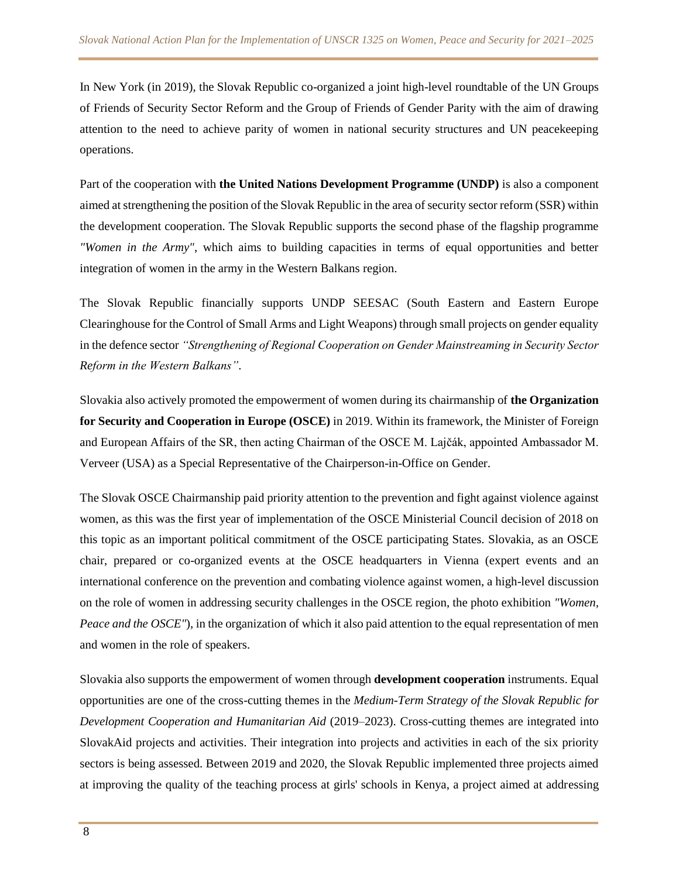In New York (in 2019), the Slovak Republic co-organized a joint high-level roundtable of the UN Groups of Friends of Security Sector Reform and the Group of Friends of Gender Parity with the aim of drawing attention to the need to achieve parity of women in national security structures and UN peacekeeping operations.

Part of the cooperation with **the United Nations Development Programme (UNDP)** is also a component aimed at strengthening the position of the Slovak Republic in the area of security sector reform (SSR) within the development cooperation. The Slovak Republic supports the second phase of the flagship programme *"Women in the Army"*, which aims to building capacities in terms of equal opportunities and better integration of women in the army in the Western Balkans region.

The Slovak Republic financially supports UNDP SEESAC (South Eastern and Eastern Europe Clearinghouse for the Control of Small Arms and Light Weapons) through small projects on gender equality in the defence sector *"Strengthening of Regional Cooperation on Gender Mainstreaming in Security Sector Reform in the Western Balkans"*.

Slovakia also actively promoted the empowerment of women during its chairmanship of **the Organization for Security and Cooperation in Europe (OSCE)** in 2019. Within its framework, the Minister of Foreign and European Affairs of the SR, then acting Chairman of the OSCE M. Lajčák, appointed Ambassador M. Verveer (USA) as a Special Representative of the Chairperson-in-Office on Gender.

The Slovak OSCE Chairmanship paid priority attention to the prevention and fight against violence against women, as this was the first year of implementation of the OSCE Ministerial Council decision of 2018 on this topic as an important political commitment of the OSCE participating States. Slovakia, as an OSCE chair, prepared or co-organized events at the OSCE headquarters in Vienna (expert events and an international conference on the prevention and combating violence against women, a high-level discussion on the role of women in addressing security challenges in the OSCE region, the photo exhibition *"Women, Peace and the OSCE"*), in the organization of which it also paid attention to the equal representation of men and women in the role of speakers.

Slovakia also supports the empowerment of women through **development cooperation** instruments. Equal opportunities are one of the cross-cutting themes in the *Medium-Term Strategy of the Slovak Republic for Development Cooperation and Humanitarian Aid* (2019–2023). Cross-cutting themes are integrated into SlovakAid projects and activities. Their integration into projects and activities in each of the six priority sectors is being assessed. Between 2019 and 2020, the Slovak Republic implemented three projects aimed at improving the quality of the teaching process at girls' schools in Kenya, a project aimed at addressing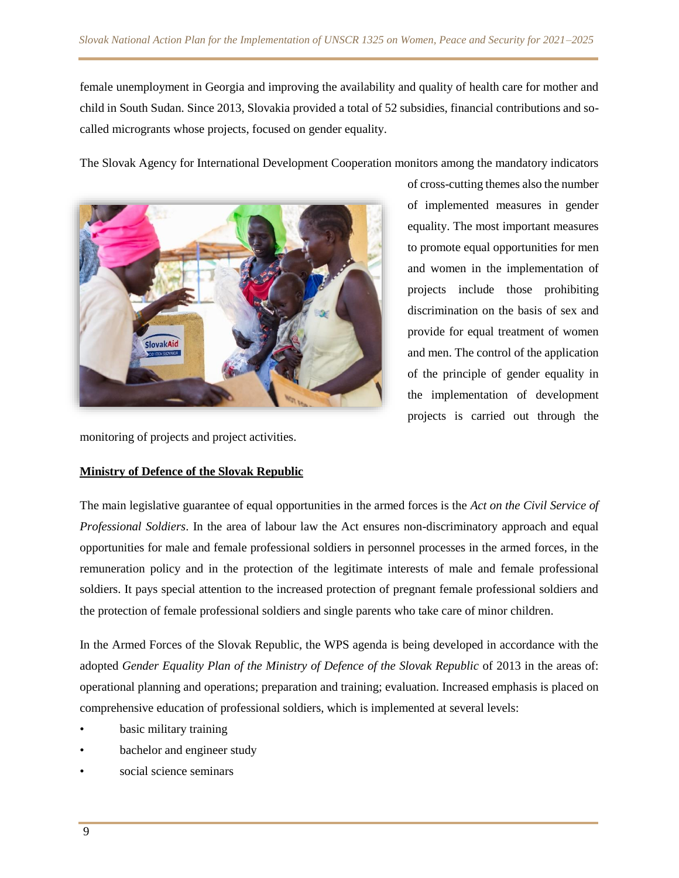female unemployment in Georgia and improving the availability and quality of health care for mother and child in South Sudan. Since 2013, Slovakia provided a total of 52 subsidies, financial contributions and socalled microgrants whose projects, focused on gender equality.

The Slovak Agency for International Development Cooperation monitors among the mandatory indicators



of cross-cutting themes also the number of implemented measures in gender equality. The most important measures to promote equal opportunities for men and women in the implementation of projects include those prohibiting discrimination on the basis of sex and provide for equal treatment of women and men. The control of the application of the principle of gender equality in the implementation of development projects is carried out through the

monitoring of projects and project activities.

#### **Ministry of Defence of the Slovak Republic**

The main legislative guarantee of equal opportunities in the armed forces is the *Act on the Civil Service of Professional Soldiers*. In the area of labour law the Act ensures non-discriminatory approach and equal opportunities for male and female professional soldiers in personnel processes in the armed forces, in the remuneration policy and in the protection of the legitimate interests of male and female professional soldiers. It pays special attention to the increased protection of pregnant female professional soldiers and the protection of female professional soldiers and single parents who take care of minor children.

In the Armed Forces of the Slovak Republic, the WPS agenda is being developed in accordance with the adopted *Gender Equality Plan of the Ministry of Defence of the Slovak Republic* of 2013 in the areas of: operational planning and operations; preparation and training; evaluation. Increased emphasis is placed on comprehensive education of professional soldiers, which is implemented at several levels:

- basic military training
- bachelor and engineer study
- social science seminars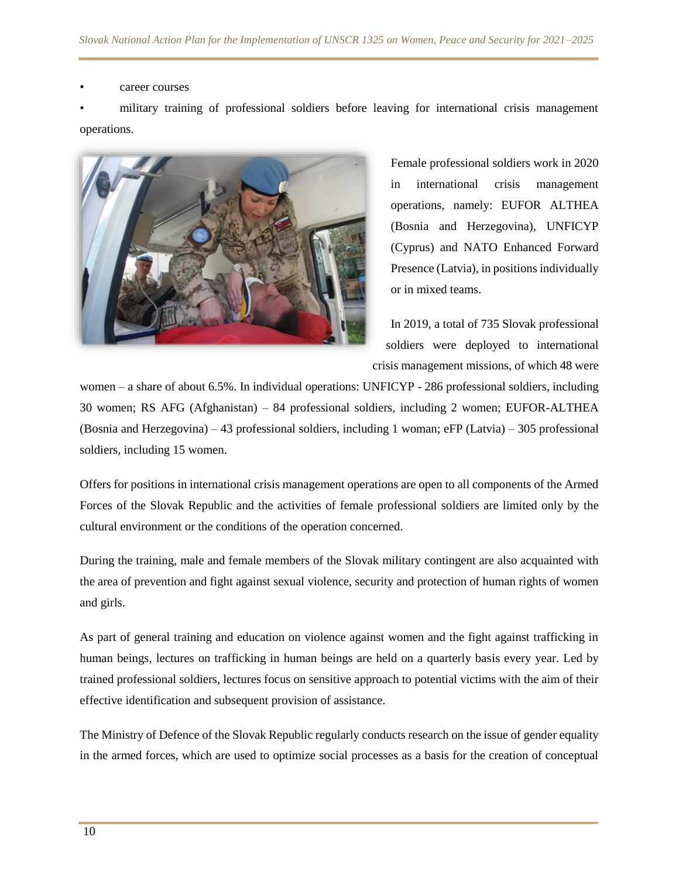#### career courses

• military training of professional soldiers before leaving for international crisis management operations.



Female professional soldiers work in 2020 in international crisis management operations, namely: EUFOR ALTHEA (Bosnia and Herzegovina), UNFICYP (Cyprus) and NATO Enhanced Forward Presence (Latvia), in positions individually or in mixed teams.

In 2019, a total of 735 Slovak professional soldiers were deployed to international crisis management missions, of which 48 were

women – a share of about 6.5%. In individual operations: UNFICYP - 286 professional soldiers, including 30 women; RS AFG (Afghanistan) – 84 professional soldiers, including 2 women; EUFOR-ALTHEA (Bosnia and Herzegovina) – 43 professional soldiers, including 1 woman; eFP (Latvia) – 305 professional soldiers, including 15 women.

Offers for positions in international crisis management operations are open to all components of the Armed Forces of the Slovak Republic and the activities of female professional soldiers are limited only by the cultural environment or the conditions of the operation concerned.

During the training, male and female members of the Slovak military contingent are also acquainted with the area of prevention and fight against sexual violence, security and protection of human rights of women and girls.

As part of general training and education on violence against women and the fight against trafficking in human beings, lectures on trafficking in human beings are held on a quarterly basis every year. Led by trained professional soldiers, lectures focus on sensitive approach to potential victims with the aim of their effective identification and subsequent provision of assistance.

The Ministry of Defence of the Slovak Republic regularly conducts research on the issue of gender equality in the armed forces, which are used to optimize social processes as a basis for the creation of conceptual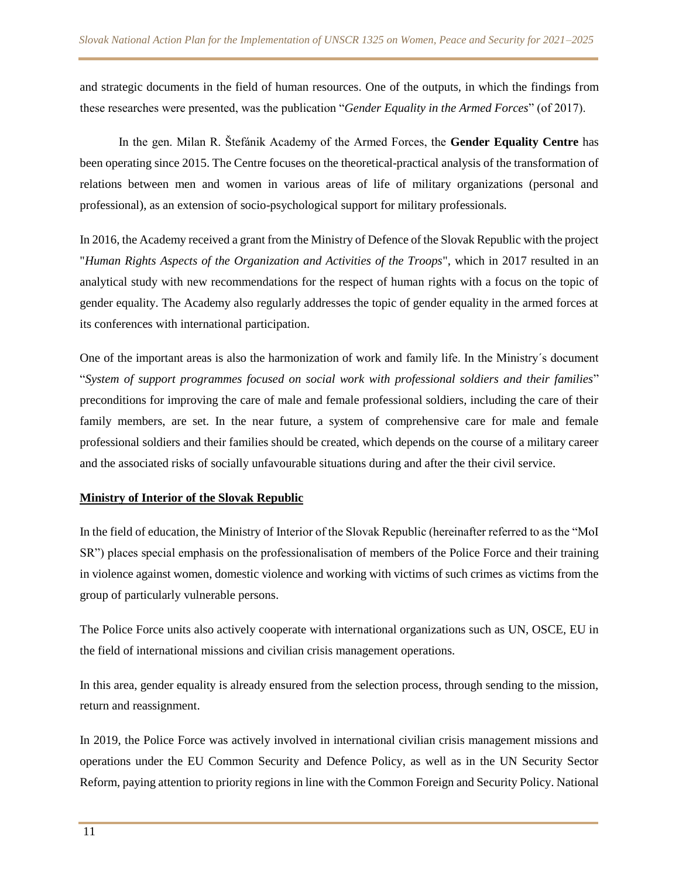and strategic documents in the field of human resources. One of the outputs, in which the findings from these researches were presented, was the publication "*Gender Equality in the Armed Forces*" (of 2017).

In the gen. Milan R. Štefánik Academy of the Armed Forces, the **Gender Equality Centre** has been operating since 2015. The Centre focuses on the theoretical-practical analysis of the transformation of relations between men and women in various areas of life of military organizations (personal and professional), as an extension of socio-psychological support for military professionals.

In 2016, the Academy received a grant from the Ministry of Defence of the Slovak Republic with the project "*Human Rights Aspects of the Organization and Activities of the Troops*", which in 2017 resulted in an analytical study with new recommendations for the respect of human rights with a focus on the topic of gender equality. The Academy also regularly addresses the topic of gender equality in the armed forces at its conferences with international participation.

One of the important areas is also the harmonization of work and family life. In the Ministry´s document "*System of support programmes focused on social work with professional soldiers and their families*" preconditions for improving the care of male and female professional soldiers, including the care of their family members, are set. In the near future, a system of comprehensive care for male and female professional soldiers and their families should be created, which depends on the course of a military career and the associated risks of socially unfavourable situations during and after the their civil service.

#### **Ministry of Interior of the Slovak Republic**

In the field of education, the Ministry of Interior of the Slovak Republic (hereinafter referred to as the "MoI SR") places special emphasis on the professionalisation of members of the Police Force and their training in violence against women, domestic violence and working with victims of such crimes as victims from the group of particularly vulnerable persons.

The Police Force units also actively cooperate with international organizations such as UN, OSCE, EU in the field of international missions and civilian crisis management operations.

In this area, gender equality is already ensured from the selection process, through sending to the mission, return and reassignment.

In 2019, the Police Force was actively involved in international civilian crisis management missions and operations under the EU Common Security and Defence Policy, as well as in the UN Security Sector Reform, paying attention to priority regions in line with the Common Foreign and Security Policy. National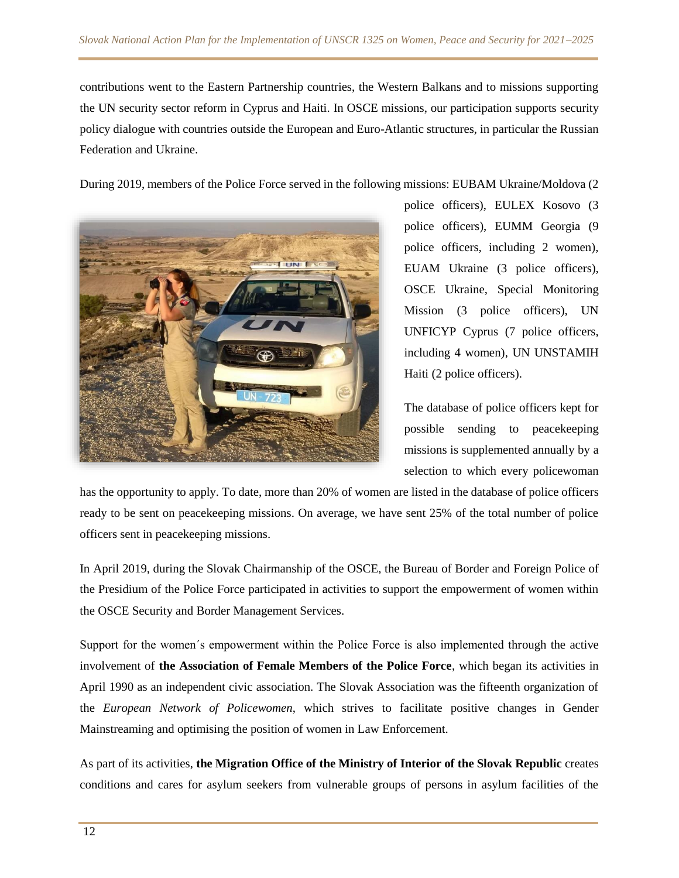contributions went to the Eastern Partnership countries, the Western Balkans and to missions supporting the UN security sector reform in Cyprus and Haiti. In OSCE missions, our participation supports security policy dialogue with countries outside the European and Euro-Atlantic structures, in particular the Russian Federation and Ukraine.

During 2019, members of the Police Force served in the following missions: EUBAM Ukraine/Moldova (2



police officers), EULEX Kosovo (3 police officers), EUMM Georgia (9 police officers, including 2 women), EUAM Ukraine (3 police officers), OSCE Ukraine, Special Monitoring Mission (3 police officers), UN UNFICYP Cyprus (7 police officers, including 4 women), UN UNSTAMIH Haiti (2 police officers).

The database of police officers kept for possible sending to peacekeeping missions is supplemented annually by a selection to which every policewoman

has the opportunity to apply. To date, more than 20% of women are listed in the database of police officers ready to be sent on peacekeeping missions. On average, we have sent 25% of the total number of police officers sent in peacekeeping missions.

In April 2019, during the Slovak Chairmanship of the OSCE, the Bureau of Border and Foreign Police of the Presidium of the Police Force participated in activities to support the empowerment of women within the OSCE Security and Border Management Services.

Support for the women´s empowerment within the Police Force is also implemented through the active involvement of **the Association of Female Members of the Police Force**, which began its activities in April 1990 as an independent civic association. The Slovak Association was the fifteenth organization of the *European Network of Policewomen*, which strives to facilitate positive changes in Gender Mainstreaming and optimising the position of women in Law Enforcement.

As part of its activities, **the Migration Office of the Ministry of Interior of the Slovak Republic** creates conditions and cares for asylum seekers from vulnerable groups of persons in asylum facilities of the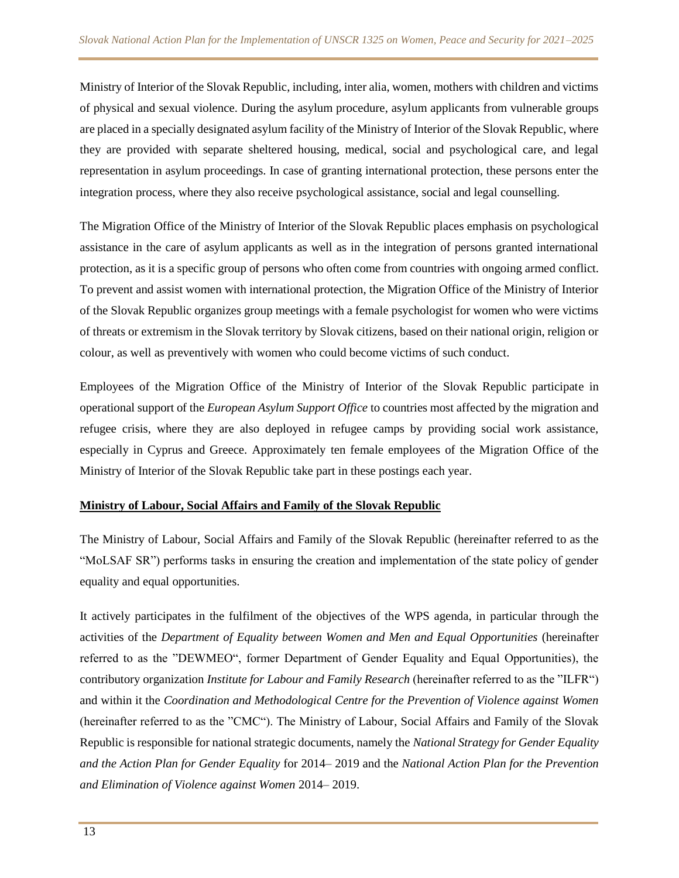Ministry of Interior of the Slovak Republic, including, inter alia, women, mothers with children and victims of physical and sexual violence. During the asylum procedure, asylum applicants from vulnerable groups are placed in a specially designated asylum facility of the Ministry of Interior of the Slovak Republic, where they are provided with separate sheltered housing, medical, social and psychological care, and legal representation in asylum proceedings. In case of granting international protection, these persons enter the integration process, where they also receive psychological assistance, social and legal counselling.

The Migration Office of the Ministry of Interior of the Slovak Republic places emphasis on psychological assistance in the care of asylum applicants as well as in the integration of persons granted international protection, as it is a specific group of persons who often come from countries with ongoing armed conflict. To prevent and assist women with international protection, the Migration Office of the Ministry of Interior of the Slovak Republic organizes group meetings with a female psychologist for women who were victims of threats or extremism in the Slovak territory by Slovak citizens, based on their national origin, religion or colour, as well as preventively with women who could become victims of such conduct.

Employees of the Migration Office of the Ministry of Interior of the Slovak Republic participate in operational support of the *European Asylum Support Office* to countries most affected by the migration and refugee crisis, where they are also deployed in refugee camps by providing social work assistance, especially in Cyprus and Greece. Approximately ten female employees of the Migration Office of the Ministry of Interior of the Slovak Republic take part in these postings each year.

#### **Ministry of Labour, Social Affairs and Family of the Slovak Republic**

The Ministry of Labour, Social Affairs and Family of the Slovak Republic (hereinafter referred to as the "MoLSAF SR") performs tasks in ensuring the creation and implementation of the state policy of gender equality and equal opportunities.

It actively participates in the fulfilment of the objectives of the WPS agenda, in particular through the activities of the *Department of Equality between Women and Men and Equal Opportunities* (hereinafter referred to as the "DEWMEO", former Department of Gender Equality and Equal Opportunities), the contributory organization *Institute for Labour and Family Research* (hereinafter referred to as the "ILFR") and within it the *Coordination and Methodological Centre for the Prevention of Violence against Women* (hereinafter referred to as the "CMC"). The Ministry of Labour, Social Affairs and Family of the Slovak Republic is responsible for national strategic documents, namely the *National Strategy for Gender Equality and the Action Plan for Gender Equality* for 2014– 2019 and the *National Action Plan for the Prevention and Elimination of Violence against Women* 2014– 2019.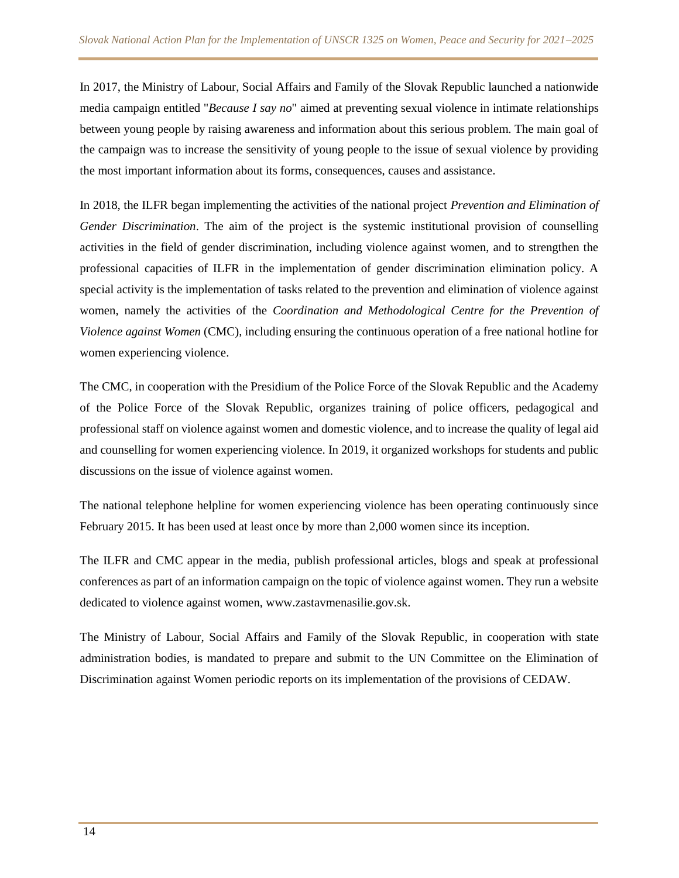In 2017, the Ministry of Labour, Social Affairs and Family of the Slovak Republic launched a nationwide media campaign entitled "*Because I say no*" aimed at preventing sexual violence in intimate relationships between young people by raising awareness and information about this serious problem. The main goal of the campaign was to increase the sensitivity of young people to the issue of sexual violence by providing the most important information about its forms, consequences, causes and assistance.

In 2018, the ILFR began implementing the activities of the national project *Prevention and Elimination of Gender Discrimination*. The aim of the project is the systemic institutional provision of counselling activities in the field of gender discrimination, including violence against women, and to strengthen the professional capacities of ILFR in the implementation of gender discrimination elimination policy. A special activity is the implementation of tasks related to the prevention and elimination of violence against women, namely the activities of the *Coordination and Methodological Centre for the Prevention of Violence against Women* (CMC), including ensuring the continuous operation of a free national hotline for women experiencing violence.

The CMC, in cooperation with the Presidium of the Police Force of the Slovak Republic and the Academy of the Police Force of the Slovak Republic, organizes training of police officers, pedagogical and professional staff on violence against women and domestic violence, and to increase the quality of legal aid and counselling for women experiencing violence. In 2019, it organized workshops for students and public discussions on the issue of violence against women.

The national telephone helpline for women experiencing violence has been operating continuously since February 2015. It has been used at least once by more than 2,000 women since its inception.

The ILFR and CMC appear in the media, publish professional articles, blogs and speak at professional conferences as part of an information campaign on the topic of violence against women. They run a website dedicated to violence against women, www.zastavmenasilie.gov.sk.

The Ministry of Labour, Social Affairs and Family of the Slovak Republic, in cooperation with state administration bodies, is mandated to prepare and submit to the UN Committee on the Elimination of Discrimination against Women periodic reports on its implementation of the provisions of CEDAW.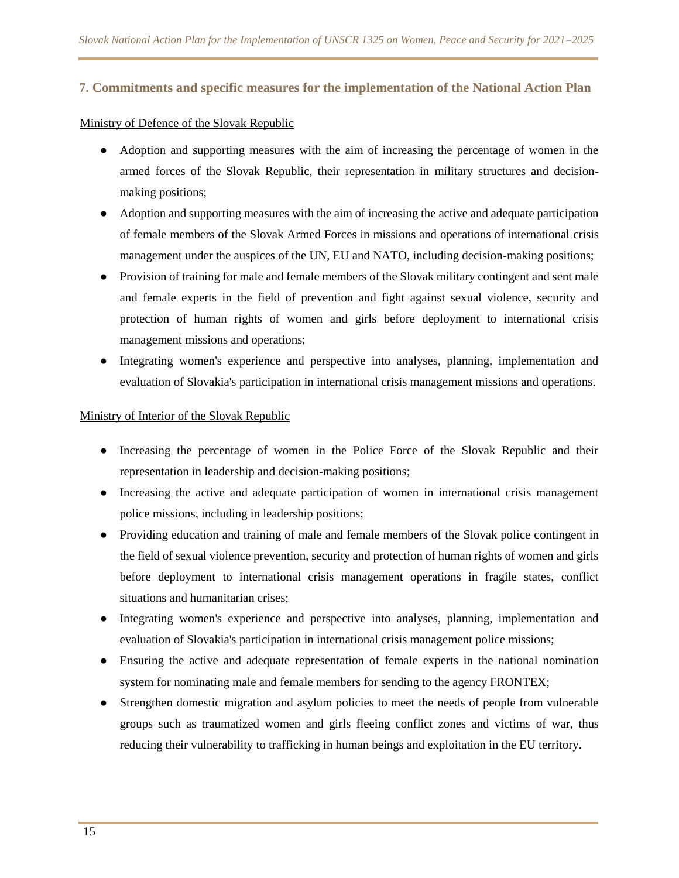#### **7. Commitments and specific measures for the implementation of the National Action Plan**

#### Ministry of Defence of the Slovak Republic

- Adoption and supporting measures with the aim of increasing the percentage of women in the armed forces of the Slovak Republic, their representation in military structures and decisionmaking positions;
- Adoption and supporting measures with the aim of increasing the active and adequate participation of female members of the Slovak Armed Forces in missions and operations of international crisis management under the auspices of the UN, EU and NATO, including decision-making positions;
- Provision of training for male and female members of the Slovak military contingent and sent male and female experts in the field of prevention and fight against sexual violence, security and protection of human rights of women and girls before deployment to international crisis management missions and operations;
- Integrating women's experience and perspective into analyses, planning, implementation and evaluation of Slovakia's participation in international crisis management missions and operations.

#### Ministry of Interior of the Slovak Republic

- Increasing the percentage of women in the Police Force of the Slovak Republic and their representation in leadership and decision-making positions;
- Increasing the active and adequate participation of women in international crisis management police missions, including in leadership positions;
- Providing education and training of male and female members of the Slovak police contingent in the field of sexual violence prevention, security and protection of human rights of women and girls before deployment to international crisis management operations in fragile states, conflict situations and humanitarian crises;
- Integrating women's experience and perspective into analyses, planning, implementation and evaluation of Slovakia's participation in international crisis management police missions;
- Ensuring the active and adequate representation of female experts in the national nomination system for nominating male and female members for sending to the agency FRONTEX;
- Strengthen domestic migration and asylum policies to meet the needs of people from vulnerable groups such as traumatized women and girls fleeing conflict zones and victims of war, thus reducing their vulnerability to trafficking in human beings and exploitation in the EU territory.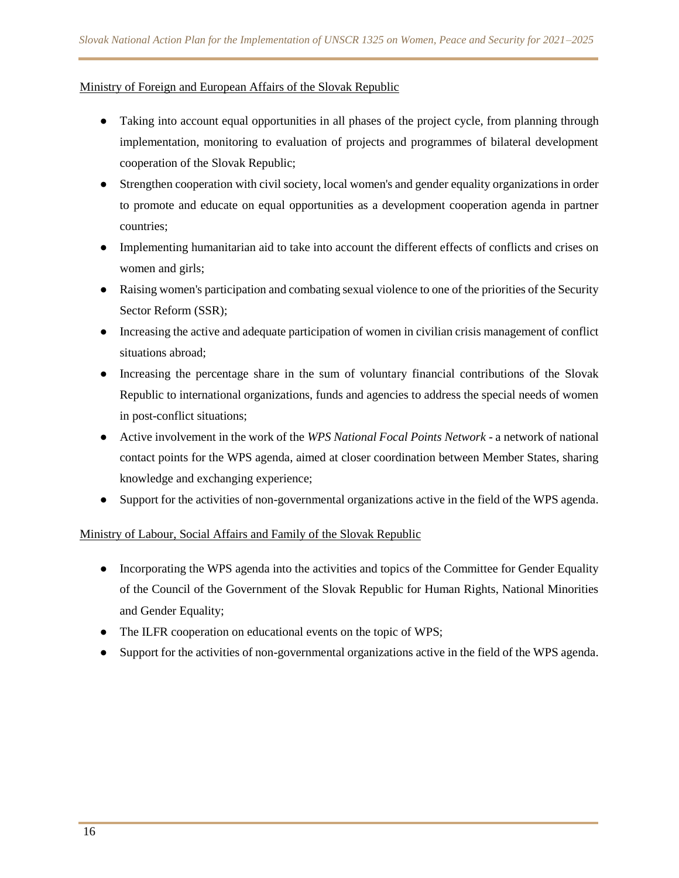#### Ministry of Foreign and European Affairs of the Slovak Republic

- Taking into account equal opportunities in all phases of the project cycle, from planning through implementation, monitoring to evaluation of projects and programmes of bilateral development cooperation of the Slovak Republic;
- Strengthen cooperation with civil society, local women's and gender equality organizations in order to promote and educate on equal opportunities as a development cooperation agenda in partner countries;
- Implementing humanitarian aid to take into account the different effects of conflicts and crises on women and girls;
- Raising women's participation and combating sexual violence to one of the priorities of the Security Sector Reform (SSR);
- Increasing the active and adequate participation of women in civilian crisis management of conflict situations abroad;
- Increasing the percentage share in the sum of voluntary financial contributions of the Slovak Republic to international organizations, funds and agencies to address the special needs of women in post-conflict situations;
- Active involvement in the work of the *WPS National Focal Points Network* a network of national contact points for the WPS agenda, aimed at closer coordination between Member States, sharing knowledge and exchanging experience;
- Support for the activities of non-governmental organizations active in the field of the WPS agenda.

#### Ministry of Labour, Social Affairs and Family of the Slovak Republic

- Incorporating the WPS agenda into the activities and topics of the Committee for Gender Equality of the Council of the Government of the Slovak Republic for Human Rights, National Minorities and Gender Equality;
- The ILFR cooperation on educational events on the topic of WPS;
- Support for the activities of non-governmental organizations active in the field of the WPS agenda.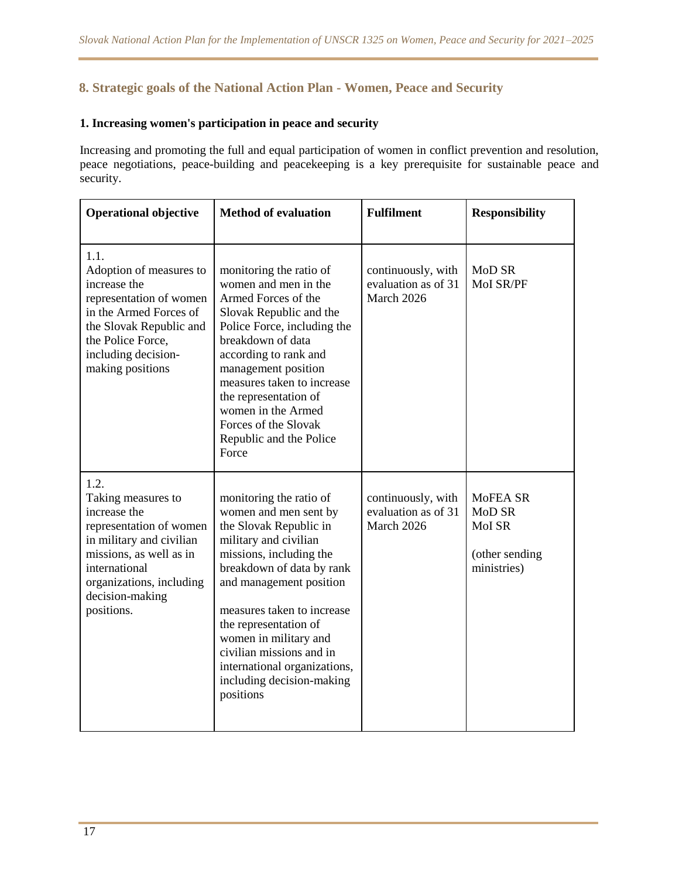# **8. Strategic goals of the National Action Plan - Women, Peace and Security**

# **1. Increasing women's participation in peace and security**

Increasing and promoting the full and equal participation of women in conflict prevention and resolution, peace negotiations, peace-building and peacekeeping is a key prerequisite for sustainable peace and security.

| <b>Operational objective</b>                                                                                                                                                                               | <b>Method of evaluation</b>                                                                                                                                                                                                                                                                                                                                                  | <b>Fulfilment</b>                                       | <b>Responsibility</b>                                         |
|------------------------------------------------------------------------------------------------------------------------------------------------------------------------------------------------------------|------------------------------------------------------------------------------------------------------------------------------------------------------------------------------------------------------------------------------------------------------------------------------------------------------------------------------------------------------------------------------|---------------------------------------------------------|---------------------------------------------------------------|
| 1.1.<br>Adoption of measures to<br>increase the<br>representation of women<br>in the Armed Forces of<br>the Slovak Republic and<br>the Police Force,<br>including decision-<br>making positions            | monitoring the ratio of<br>women and men in the<br>Armed Forces of the<br>Slovak Republic and the<br>Police Force, including the<br>breakdown of data<br>according to rank and<br>management position<br>measures taken to increase<br>the representation of<br>women in the Armed<br>Forces of the Slovak<br>Republic and the Police<br>Force                               | continuously, with<br>evaluation as of 31<br>March 2026 | MoD SR<br>MoI SR/PF                                           |
| 1.2.<br>Taking measures to<br>increase the<br>representation of women<br>in military and civilian<br>missions, as well as in<br>international<br>organizations, including<br>decision-making<br>positions. | monitoring the ratio of<br>women and men sent by<br>the Slovak Republic in<br>military and civilian<br>missions, including the<br>breakdown of data by rank<br>and management position<br>measures taken to increase<br>the representation of<br>women in military and<br>civilian missions and in<br>international organizations,<br>including decision-making<br>positions | continuously, with<br>evaluation as of 31<br>March 2026 | MoFEA SR<br>MoD SR<br>MoI SR<br>(other sending<br>ministries) |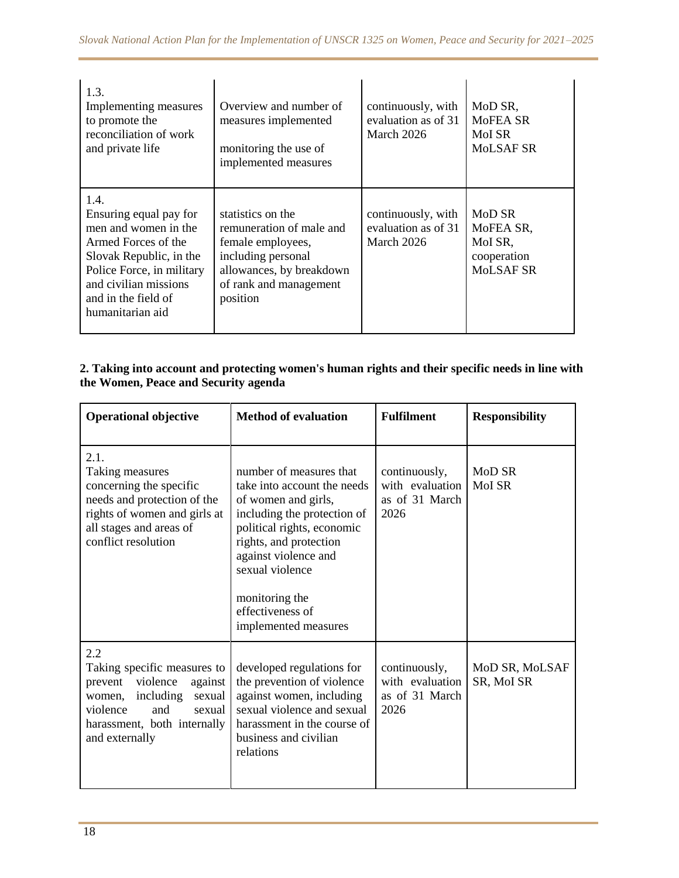| 1.3.<br>Implementing measures<br>to promote the<br>reconciliation of work<br>and private life                                                                                                             | Overview and number of<br>measures implemented<br>monitoring the use of<br>implemented measures                                                            | continuously, with<br>evaluation as of 31<br>March 2026 | MoD SR,<br>MoFEA SR<br>MoI SR<br>MoLSAF SR                 |
|-----------------------------------------------------------------------------------------------------------------------------------------------------------------------------------------------------------|------------------------------------------------------------------------------------------------------------------------------------------------------------|---------------------------------------------------------|------------------------------------------------------------|
| 1.4.<br>Ensuring equal pay for<br>men and women in the<br>Armed Forces of the<br>Slovak Republic, in the<br>Police Force, in military<br>and civilian missions<br>and in the field of<br>humanitarian aid | statistics on the<br>remuneration of male and<br>female employees,<br>including personal<br>allowances, by breakdown<br>of rank and management<br>position | continuously, with<br>evaluation as of 31<br>March 2026 | MoD SR<br>MoFEA SR,<br>MoI SR,<br>cooperation<br>MoLSAF SR |

### **2. Taking into account and protecting women's human rights and their specific needs in line with the Women, Peace and Security agenda**

| <b>Operational objective</b>                                                                                                                                                        | <b>Method of evaluation</b>                                                                                                                                                                                                                                                   | <b>Fulfilment</b>                                          | <b>Responsibility</b>        |
|-------------------------------------------------------------------------------------------------------------------------------------------------------------------------------------|-------------------------------------------------------------------------------------------------------------------------------------------------------------------------------------------------------------------------------------------------------------------------------|------------------------------------------------------------|------------------------------|
| 2.1.<br>Taking measures<br>concerning the specific<br>needs and protection of the<br>rights of women and girls at<br>all stages and areas of<br>conflict resolution                 | number of measures that<br>take into account the needs<br>of women and girls,<br>including the protection of<br>political rights, economic<br>rights, and protection<br>against violence and<br>sexual violence<br>monitoring the<br>effectiveness of<br>implemented measures | continuously,<br>with evaluation<br>as of 31 March<br>2026 | MoD SR<br>MoI SR             |
| 2.2<br>Taking specific measures to<br>violence<br>prevent<br>against<br>including<br>sexual<br>women,<br>violence<br>and<br>sexual<br>harassment, both internally<br>and externally | developed regulations for<br>the prevention of violence<br>against women, including<br>sexual violence and sexual<br>harassment in the course of<br>business and civilian<br>relations                                                                                        | continuously,<br>with evaluation<br>as of 31 March<br>2026 | MoD SR, MoLSAF<br>SR, MoI SR |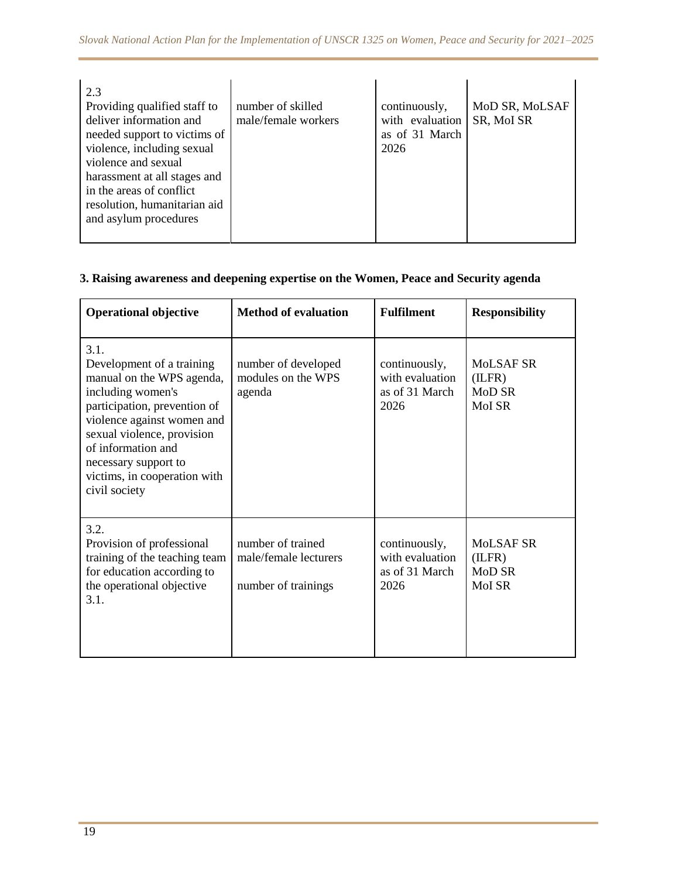| 2.3<br>Providing qualified staff to<br>deliver information and<br>needed support to victims of<br>violence, including sexual<br>violence and sexual<br>harassment at all stages and<br>in the areas of conflict<br>resolution, humanitarian aid<br>and asylum procedures | number of skilled<br>male/female workers | continuously,<br>with evaluation<br>as of 31 March<br>2026 | MoD SR, MoLSAF<br>SR, MoI SR |
|--------------------------------------------------------------------------------------------------------------------------------------------------------------------------------------------------------------------------------------------------------------------------|------------------------------------------|------------------------------------------------------------|------------------------------|
|--------------------------------------------------------------------------------------------------------------------------------------------------------------------------------------------------------------------------------------------------------------------------|------------------------------------------|------------------------------------------------------------|------------------------------|

# **3. Raising awareness and deepening expertise on the Women, Peace and Security agenda**

| <b>Operational objective</b>                                                                                                                                                                                                                                                   | <b>Method of evaluation</b>                                       | <b>Fulfilment</b>                                          | <b>Responsibility</b>                   |
|--------------------------------------------------------------------------------------------------------------------------------------------------------------------------------------------------------------------------------------------------------------------------------|-------------------------------------------------------------------|------------------------------------------------------------|-----------------------------------------|
| 3.1.<br>Development of a training<br>manual on the WPS agenda,<br>including women's<br>participation, prevention of<br>violence against women and<br>sexual violence, provision<br>of information and<br>necessary support to<br>victims, in cooperation with<br>civil society | number of developed<br>modules on the WPS<br>agenda               | continuously,<br>with evaluation<br>as of 31 March<br>2026 | MoLSAF SR<br>(ILFR)<br>MoD SR<br>MoI SR |
| 3.2.<br>Provision of professional<br>training of the teaching team<br>for education according to<br>the operational objective<br>3.1.                                                                                                                                          | number of trained<br>male/female lecturers<br>number of trainings | continuously,<br>with evaluation<br>as of 31 March<br>2026 | MoLSAF SR<br>(ILFR)<br>MoD SR<br>MoI SR |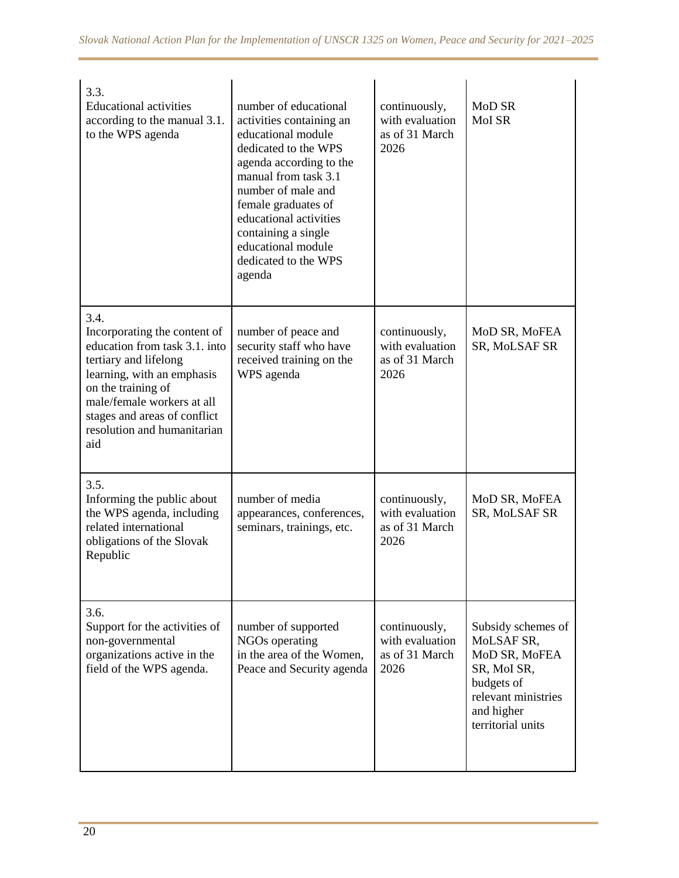| 3.3.<br><b>Educational activities</b><br>according to the manual 3.1.<br>to the WPS agenda                                                                                                                                                             | number of educational<br>activities containing an<br>educational module<br>dedicated to the WPS<br>agenda according to the<br>manual from task 3.1<br>number of male and<br>female graduates of<br>educational activities<br>containing a single<br>educational module<br>dedicated to the WPS<br>agenda | continuously,<br>with evaluation<br>as of 31 March<br>2026 | MoD SR<br>MoI SR                                                                                                                         |
|--------------------------------------------------------------------------------------------------------------------------------------------------------------------------------------------------------------------------------------------------------|----------------------------------------------------------------------------------------------------------------------------------------------------------------------------------------------------------------------------------------------------------------------------------------------------------|------------------------------------------------------------|------------------------------------------------------------------------------------------------------------------------------------------|
| 3.4.<br>Incorporating the content of<br>education from task 3.1. into<br>tertiary and lifelong<br>learning, with an emphasis<br>on the training of<br>male/female workers at all<br>stages and areas of conflict<br>resolution and humanitarian<br>aid | number of peace and<br>security staff who have<br>received training on the<br>WPS agenda                                                                                                                                                                                                                 | continuously,<br>with evaluation<br>as of 31 March<br>2026 | MoD SR, MoFEA<br>SR, MoLSAF SR                                                                                                           |
| 3.5.<br>Informing the public about<br>the WPS agenda, including<br>related international<br>obligations of the Slovak<br>Republic                                                                                                                      | number of media<br>appearances, conferences,<br>seminars, trainings, etc.                                                                                                                                                                                                                                | continuously,<br>with evaluation<br>as of 31 March<br>2026 | MoD SR, MoFEA<br>SR, MoLSAF SR                                                                                                           |
| 3.6.<br>Support for the activities of<br>non-governmental<br>organizations active in the<br>field of the WPS agenda.                                                                                                                                   | number of supported<br>NGOs operating<br>in the area of the Women,<br>Peace and Security agenda                                                                                                                                                                                                          | continuously,<br>with evaluation<br>as of 31 March<br>2026 | Subsidy schemes of<br>MoLSAF SR,<br>MoD SR, MoFEA<br>SR, MoI SR,<br>budgets of<br>relevant ministries<br>and higher<br>territorial units |